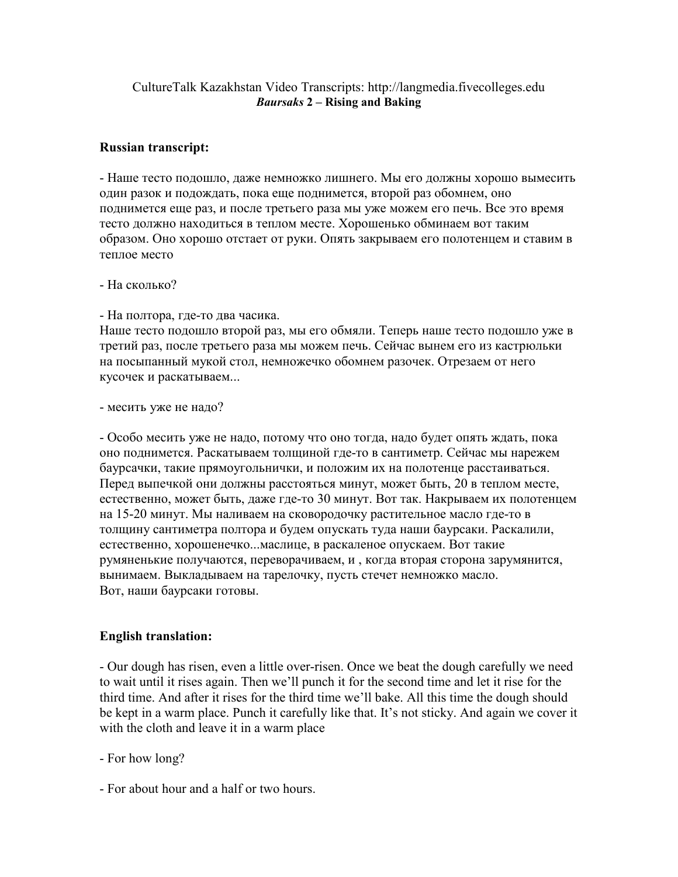## CultureTalk Kazakhstan Video Transcripts: http://langmedia.fivecolleges.edu Baursaks 2 – Rising and Baking

## Russian transcript:

- Наше тесто подошло, даже немножко лишнего. Мы его должны хорошо вымесить один разок и подождать, пока еще поднимется, второй раз обомнем, оно поднимется еще раз, и после третьего раза мы уже можем его печь. Все это время тесто должно находиться в теплом месте. Хорошенько обминаем вот таким образом. Оно хорошо отстает от руки. Опять закрываем его полотенцем и ставим в теплое место

- На сколько?

- На полтора, где-то два часика.

Наше тесто подошло второй раз, мы его обмяли. Теперь наше тесто подошло уже в третий раз, после третьего раза мы можем печь. Сейчас вынем его из кастрюльки на посыпанный мукой стол, немножечко обомнем разочек. Отрезаем от него кусочек и раскатываем...

- месить уже не надо?

- Особо месить уже не надо, потому что оно тогда, надо будет опять ждать, пока оно поднимется. Раскатываем толщиной где-то в сантиметр. Сейчас мы нарежем баурсачки, такие прямоугольнички, и положим их на полотенце расстаиваться. Перед выпечкой они должны расстояться минут, может быть, 20 в теплом месте, естественно, может быть, даже где-то 30 минут. Вот так. Накрываем их полотенцем на 15-20 минут. Мы наливаем на сковородочку растительное масло где-то в толщину сантиметра полтора и будем опускать туда наши баурсаки. Раскалили, естественно, хорошенечко...маслице, в раскаленое опускаем. Вот такие румяненькие получаются, переворачиваем, и , когда вторая сторона зарумянится, вынимаем. Выкладываем на тарелочку, пусть стечет немножко масло. Вот, наши баурсаки готовы.

## English translation:

- Our dough has risen, even a little over-risen. Once we beat the dough carefully we need to wait until it rises again. Then we'll punch it for the second time and let it rise for the third time. And after it rises for the third time we'll bake. All this time the dough should be kept in a warm place. Punch it carefully like that. It's not sticky. And again we cover it with the cloth and leave it in a warm place

- For how long?

- For about hour and a half or two hours.